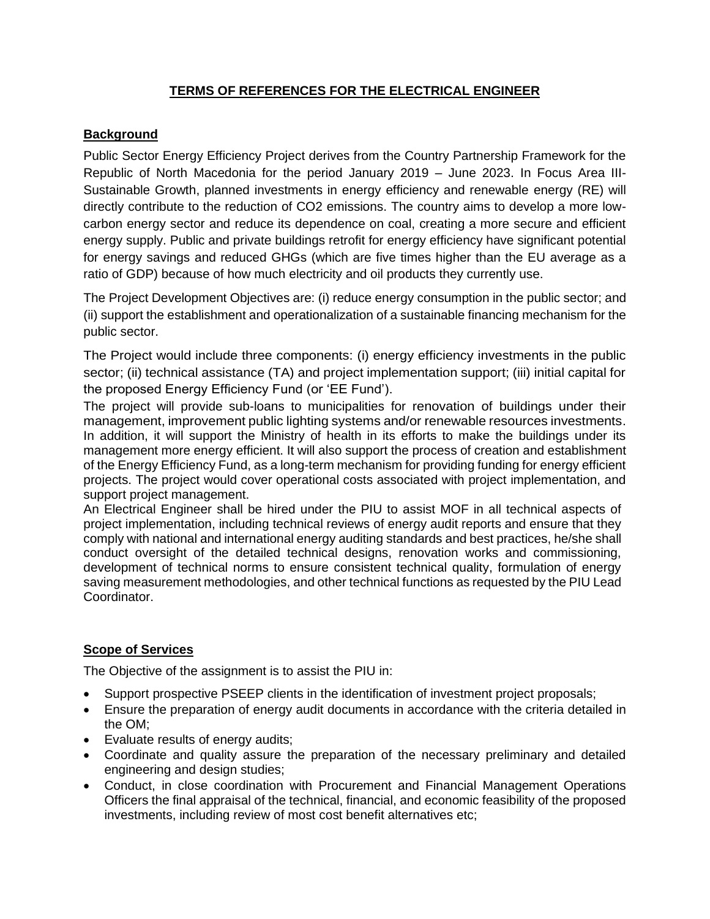# **TERMS OF REFERENCES FOR THE ELECTRICAL ENGINEER**

### **Background**

Public Sector Energy Efficiency Project derives from the Country Partnership Framework for the Republic of North Macedonia for the period January 2019 – June 2023. In Focus Area III-Sustainable Growth, planned investments in energy efficiency and renewable energy (RE) will directly contribute to the reduction of CO2 emissions. The country aims to develop a more lowcarbon energy sector and reduce its dependence on coal, creating a more secure and efficient energy supply. Public and private buildings retrofit for energy efficiency have significant potential for energy savings and reduced GHGs (which are five times higher than the EU average as a ratio of GDP) because of how much electricity and oil products they currently use.

The Project Development Objectives are: (i) reduce energy consumption in the public sector; and (ii) support the establishment and operationalization of a sustainable financing mechanism for the public sector.

The Project would include three components: (i) energy efficiency investments in the public sector; (ii) technical assistance (TA) and project implementation support; (iii) initial capital for the proposed Energy Efficiency Fund (or 'EE Fund').

The project will provide sub-loans to municipalities for renovation of buildings under their management, improvement public lighting systems and/or renewable resources investments. In addition, it will support the Ministry of health in its efforts to make the buildings under its management more energy efficient. It will also support the process of creation and establishment of the Energy Efficiency Fund, as a long-term mechanism for providing funding for energy efficient projects. The project would cover operational costs associated with project implementation, and support project management.

An Electrical Engineer shall be hired under the PIU to assist MOF in all technical aspects of project implementation, including technical reviews of energy audit reports and ensure that they comply with national and international energy auditing standards and best practices, he/she shall conduct oversight of the detailed technical designs, renovation works and commissioning, development of technical norms to ensure consistent technical quality, formulation of energy saving measurement methodologies, and other technical functions as requested by the PIU Lead Coordinator.

## **Scope of Services**

The Objective of the assignment is to assist the PIU in:

- Support prospective PSEEP clients in the identification of investment project proposals;
- Ensure the preparation of energy audit documents in accordance with the criteria detailed in the OM;
- Evaluate results of energy audits;
- Coordinate and quality assure the preparation of the necessary preliminary and detailed engineering and design studies;
- Conduct, in close coordination with Procurement and Financial Management Operations Officers the final appraisal of the technical, financial, and economic feasibility of the proposed investments, including review of most cost benefit alternatives etc;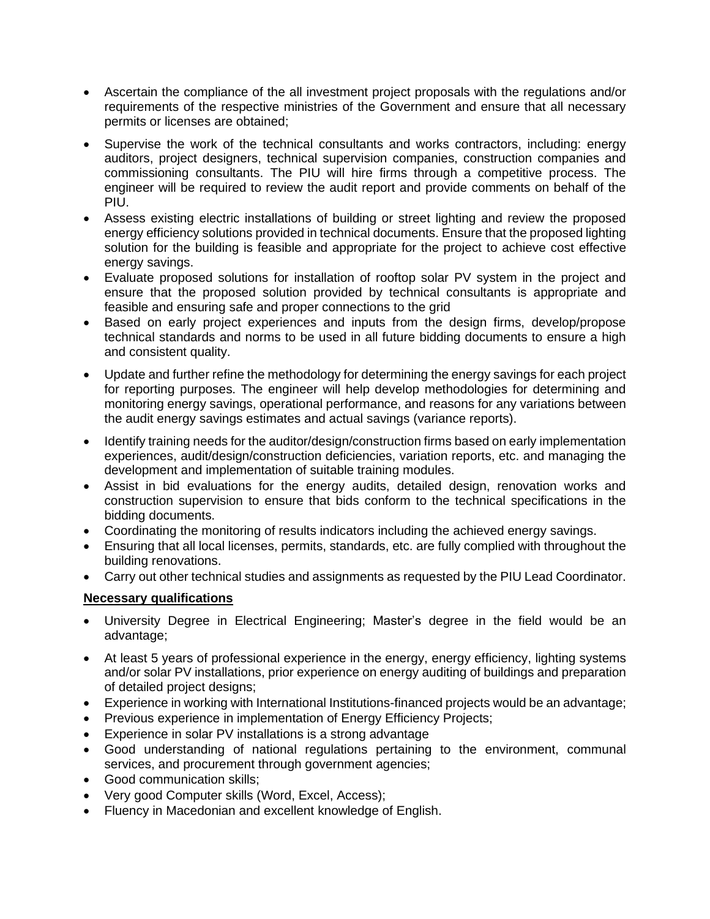- Ascertain the compliance of the all investment project proposals with the regulations and/or requirements of the respective ministries of the Government and ensure that all necessary permits or licenses are obtained;
- Supervise the work of the technical consultants and works contractors, including: energy auditors, project designers, technical supervision companies, construction companies and commissioning consultants. The PIU will hire firms through a competitive process. The engineer will be required to review the audit report and provide comments on behalf of the PIU.
- Assess existing electric installations of building or street lighting and review the proposed energy efficiency solutions provided in technical documents. Ensure that the proposed lighting solution for the building is feasible and appropriate for the project to achieve cost effective energy savings.
- Evaluate proposed solutions for installation of rooftop solar PV system in the project and ensure that the proposed solution provided by technical consultants is appropriate and feasible and ensuring safe and proper connections to the grid
- Based on early project experiences and inputs from the design firms, develop/propose technical standards and norms to be used in all future bidding documents to ensure a high and consistent quality.
- Update and further refine the methodology for determining the energy savings for each project for reporting purposes. The engineer will help develop methodologies for determining and monitoring energy savings, operational performance, and reasons for any variations between the audit energy savings estimates and actual savings (variance reports).
- Identify training needs for the auditor/design/construction firms based on early implementation experiences, audit/design/construction deficiencies, variation reports, etc. and managing the development and implementation of suitable training modules.
- Assist in bid evaluations for the energy audits, detailed design, renovation works and construction supervision to ensure that bids conform to the technical specifications in the bidding documents.
- Coordinating the monitoring of results indicators including the achieved energy savings.
- Ensuring that all local licenses, permits, standards, etc. are fully complied with throughout the building renovations.
- Carry out other technical studies and assignments as requested by the PIU Lead Coordinator.

## **Necessary qualifications**

- University Degree in Electrical Engineering; Master's degree in the field would be an advantage;
- At least 5 years of professional experience in the energy, energy efficiency, lighting systems and/or solar PV installations, prior experience on energy auditing of buildings and preparation of detailed project designs;
- Experience in working with International Institutions-financed projects would be an advantage;
- Previous experience in implementation of Energy Efficiency Projects;
- Experience in solar PV installations is a strong advantage
- Good understanding of national regulations pertaining to the environment, communal services, and procurement through government agencies;
- Good communication skills;
- Very good Computer skills (Word, Excel, Access);
- Fluency in Macedonian and excellent knowledge of English.